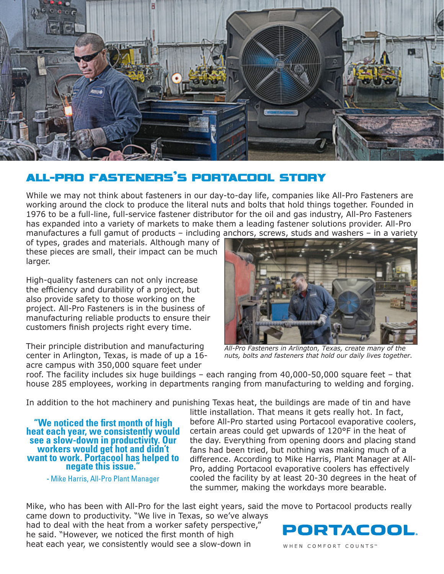

## ALL-PRO FASTENERS'S PORTACOOL STORY

While we may not think about fasteners in our day-to-day life, companies like All-Pro Fasteners are working around the clock to produce the literal nuts and bolts that hold things together. Founded in 1976 to be a full-line, full-service fastener distributor for the oil and gas industry, All-Pro Fasteners has expanded into a variety of markets to make them a leading fastener solutions provider. All-Pro manufactures a full gamut of products – including anchors, screws, studs and washers – in a variety

of types, grades and materials. Although many of these pieces are small, their impact can be much larger.

High-quality fasteners can not only increase the efficiency and durability of a project, but also provide safety to those working on the project. All-Pro Fasteners is in the business of manufacturing reliable products to ensure their customers finish projects right every time.

Their principle distribution and manufacturing center in Arlington, Texas, is made of up a 16 acre campus with 350,000 square feet under



*All-Pro Fasteners in Arlington, Texas, create many of the nuts, bolts and fasteners that hold our daily lives together.* 

roof. The facility includes six huge buildings – each ranging from 40,000-50,000 square feet – that house 285 employees, working in departments ranging from manufacturing to welding and forging.

In addition to the hot machinery and punishing Texas heat, the buildings are made of tin and have

**"We noticed the first month of high heat each year, we consistently would see a slow-down in productivity. Our workers would get hot and didn't want to work. Portacool has helped to negate this issue."**

**-** Mike Harris, All-Pro Plant Manager

little installation. That means it gets really hot. In fact, before All-Pro started using Portacool evaporative coolers, certain areas could get upwards of 120°F in the heat of the day. Everything from opening doors and placing stand fans had been tried, but nothing was making much of a difference. According to Mike Harris, Plant Manager at All-Pro, adding Portacool evaporative coolers has effectively cooled the facility by at least 20-30 degrees in the heat of the summer, making the workdays more bearable.

Mike, who has been with All-Pro for the last eight years, said the move to Portacool products really came down to productivity. "We live in Texas, so we've always

had to deal with the heat from a worker safety perspective," he said. "However, we noticed the first month of high heat each year, we consistently would see a slow-down in



WHEN COMFORT COUNTS™